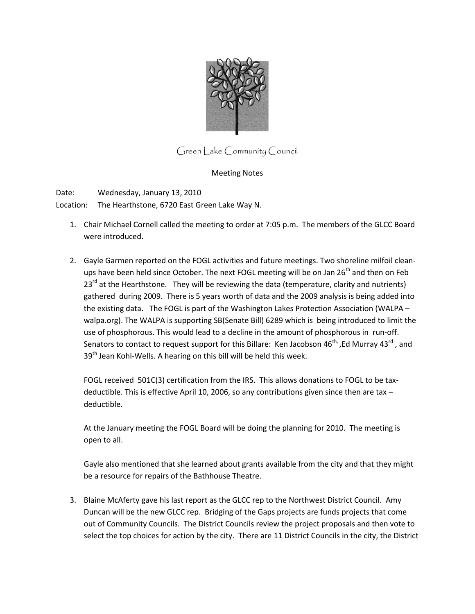

Green Lake Community Council

## Meeting Notes

Date: Wednesday, January 13, 2010

Location: The Hearthstone, 6720 East Green Lake Way N.

- 1. Chair Michael Cornell called the meeting to order at 7:05 p.m. The members of the GLCC Board were introduced.
- 2. Gayle Garmen reported on the FOGL activities and future meetings. Two shoreline milfoil cleanups have been held since October. The next FOGL meeting will be on Jan 26<sup>th</sup> and then on Feb  $23^{rd}$  at the Hearthstone. They will be reviewing the data (temperature, clarity and nutrients) gathered during 2009. There is 5 years worth of data and the 2009 analysis is being added into the existing data. The FOGL is part of the Washington Lakes Protection Association (WALPA – walpa.org). The WALPA is supporting SB(Senate Bill) 6289 which is being introduced to limit the use of phosphorous. This would lead to a decline in the amount of phosphorous in run-off. Senators to contact to request support for this Billare: Ken Jacobson  $46^{th}$ , Ed Murray  $43^{rd}$ , and  $39<sup>th</sup>$  Jean Kohl-Wells. A hearing on this bill will be held this week.

FOGL received 501C(3) certification from the IRS. This allows donations to FOGL to be taxdeductible. This is effective April 10, 2006, so any contributions given since then are tax – deductible.

At the January meeting the FOGL Board will be doing the planning for 2010. The meeting is open to all.

Gayle also mentioned that she learned about grants available from the city and that they might be a resource for repairs of the Bathhouse Theatre.

3. Blaine McAferty gave his last report as the GLCC rep to the Northwest District Council. Amy Duncan will be the new GLCC rep. Bridging of the Gaps projects are funds projects that come out of Community Councils. The District Councils review the project proposals and then vote to select the top choices for action by the city. There are 11 District Councils in the city, the District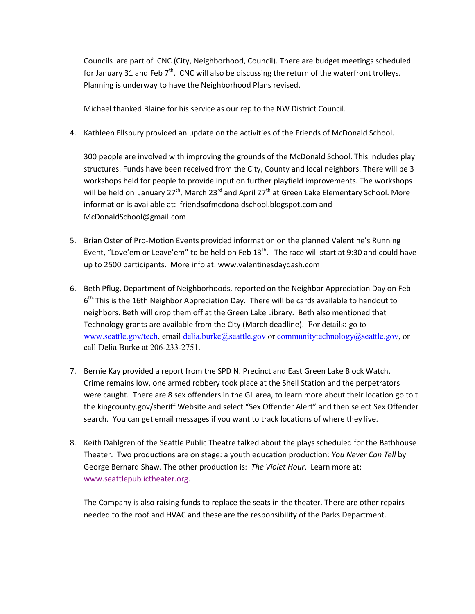Councils are part of CNC (City, Neighborhood, Council). There are budget meetings scheduled for January 31 and Feb  $7<sup>th</sup>$ . CNC will also be discussing the return of the waterfront trolleys. Planning is underway to have the Neighborhood Plans revised.

Michael thanked Blaine for his service as our rep to the NW District Council.

4. Kathleen Ellsbury provided an update on the activities of the Friends of McDonald School.

300 people are involved with improving the grounds of the McDonald School. This includes play structures. Funds have been received from the City, County and local neighbors. There will be 3 workshops held for people to provide input on further playfield improvements. The workshops will be held on January 27<sup>th</sup>, March 23<sup>rd</sup> and April 27<sup>th</sup> at Green Lake Elementary School. More information is available at: friendsofmcdonaldschool.blogspot.com and McDonaldSchool@gmail.com

- 5. Brian Oster of Pro-Motion Events provided information on the planned Valentine's Running Event, "Love'em or Leave'em" to be held on Feb  $13<sup>th</sup>$ . The race will start at 9:30 and could have up to 2500 participants. More info at: www.valentinesdaydash.com
- 6. Beth Pflug, Department of Neighborhoods, reported on the Neighbor Appreciation Day on Feb 6<sup>th.</sup> This is the 16th Neighbor Appreciation Day. There will be cards available to handout to neighbors. Beth will drop them off at the Green Lake Library. Beth also mentioned that Technology grants are available from the City (March deadline). For details: go to [www.seattle.gov/tech,](http://www.seattle.gov/tech) email [delia.burke@seattle.gov](mailto:delia.burke@seattle.gov) or [communitytechnology@seattle.gov,](mailto:communitytechnology@seattle.gov) or call Delia Burke at 206-233-2751.
- 7. Bernie Kay provided a report from the SPD N. Precinct and East Green Lake Block Watch. Crime remains low, one armed robbery took place at the Shell Station and the perpetrators were caught. There are 8 sex offenders in the GL area, to learn more about their location go to t the kingcounty.gov/sheriff Website and select "Sex Offender Alert" and then select Sex Offender search. You can get email messages if you want to track locations of where they live.
- 8. Keith Dahlgren of the Seattle Public Theatre talked about the plays scheduled for the Bathhouse Theater. Two productions are on stage: a youth education production: *You Never Can Tell* by George Bernard Shaw. The other production is: *The Violet Hour*. Learn more at: [www.seattlepublictheater.org.](http://www.seattlepublictheater.org/)

The Company is also raising funds to replace the seats in the theater. There are other repairs needed to the roof and HVAC and these are the responsibility of the Parks Department.